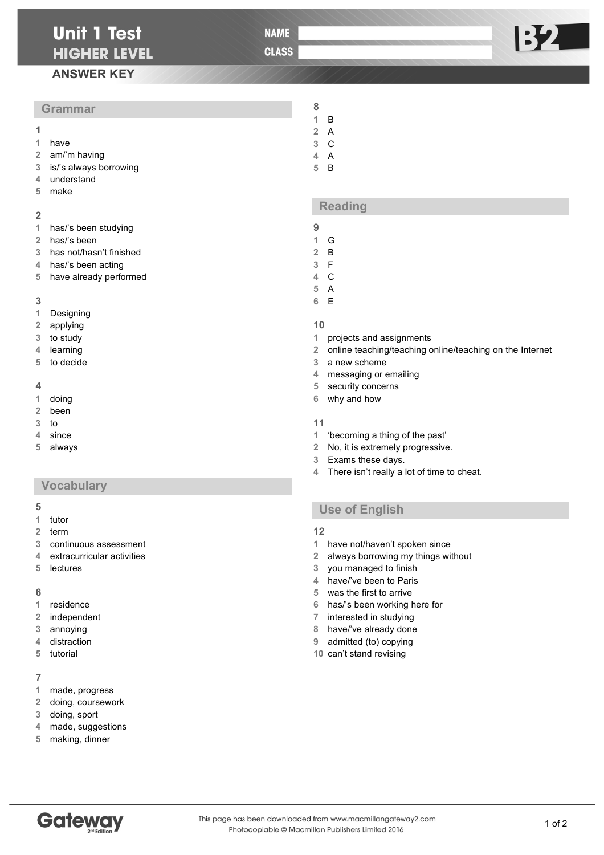# **Unit 1 Test HIGHER LEVEL**

**NAME** 

**CLASS** 

# **ANSWER KEY**

### **Grammar**

- 
- have
- am/'m having
- is/'s always borrowing
- understand
- make

#### 

- has/'s been studying
- has/'s been
- has not/hasn't finished
- has/'s been acting
- have already performed

#### 

- Designing
- applying
- to study
- learning
- to decide

#### 

- doing
- been
- to
- since
- always

### **Vocabulary**

#### 

- tutor
- term
- continuous assessment
- extracurricular activities
- lectures

#### 

- residence
- independent
- annoying
- distraction tutorial
- 

### 

- made, progress
- doing, coursework
- doing, sport
- made, suggestions
- making, dinner
- B
- A
- C
- A
- B

### **Reading**

- 
- G B
- F
- C
- A
- E

### 

- projects and assignments
- online teaching/teaching online/teaching on the Internet
- a new scheme
- messaging or emailing
- security concerns
- why and how

#### 

- 'becoming a thing of the past'
- No, it is extremely progressive.
- Exams these days.
- There isn't really a lot of time to cheat.

# **Use of English**

### 

- have not/haven't spoken since
- always borrowing my things without
- you managed to finish
- have/'ve been to Paris
- was the first to arrive
- has/'s been working here for
- interested in studying
- have/'ve already done
- admitted (to) copying
- can't stand revising



B2 |